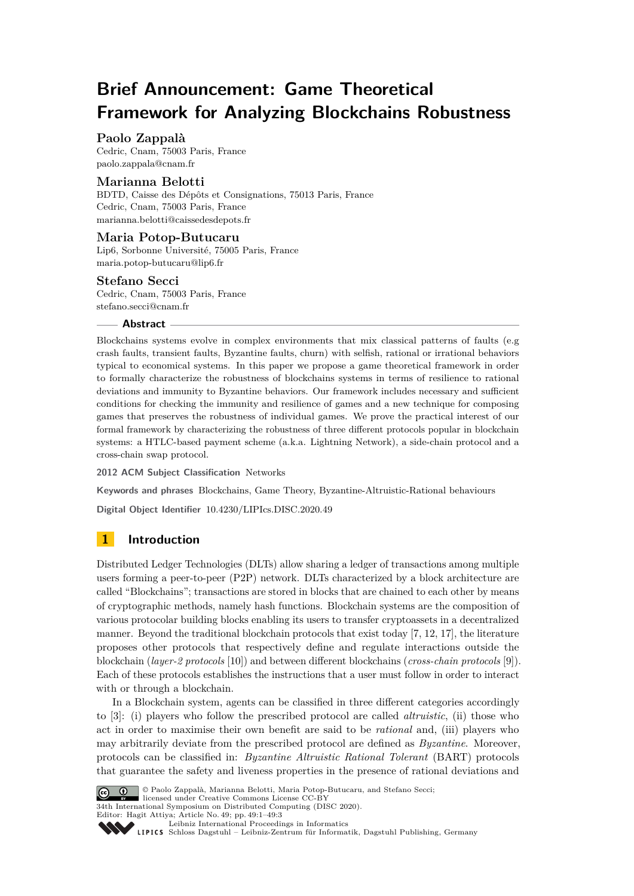# **Brief Announcement: Game Theoretical Framework for Analyzing Blockchains Robustness**

## **Paolo Zappalà**

Cedric, Cnam, 75003 Paris, France [paolo.zappala@cnam.fr](mailto:paolo.zappala@cnam.fr)

### **Marianna Belotti**

BDTD, Caisse des Dépôts et Consignations, 75013 Paris, France Cedric, Cnam, 75003 Paris, France [marianna.belotti@caissedesdepots.fr](mailto:marianna.belotti@caissedesdepots.fr)

#### **Maria Potop-Butucaru**

Lip6, Sorbonne Université, 75005 Paris, France [maria.potop-butucaru@lip6.fr](mailto:maria.potop-butucaru@lip6.fr)

#### **Stefano Secci**

Cedric, Cnam, 75003 Paris, France [stefano.secci@cnam.fr](mailto:stefano.secci@cnam.fr)

#### **Abstract**

Blockchains systems evolve in complex environments that mix classical patterns of faults (e.g crash faults, transient faults, Byzantine faults, churn) with selfish, rational or irrational behaviors typical to economical systems. In this paper we propose a game theoretical framework in order to formally characterize the robustness of blockchains systems in terms of resilience to rational deviations and immunity to Byzantine behaviors. Our framework includes necessary and sufficient conditions for checking the immunity and resilience of games and a new technique for composing games that preserves the robustness of individual games. We prove the practical interest of our formal framework by characterizing the robustness of three different protocols popular in blockchain systems: a HTLC-based payment scheme (a.k.a. Lightning Network), a side-chain protocol and a cross-chain swap protocol.

**2012 ACM Subject Classification** Networks

**Keywords and phrases** Blockchains, Game Theory, Byzantine-Altruistic-Rational behaviours

**Digital Object Identifier** [10.4230/LIPIcs.DISC.2020.49](https://doi.org/10.4230/LIPIcs.DISC.2020.49)

## **1 Introduction**

Distributed Ledger Technologies (DLTs) allow sharing a ledger of transactions among multiple users forming a peer-to-peer (P2P) network. DLTs characterized by a block architecture are called "Blockchains"; transactions are stored in blocks that are chained to each other by means of cryptographic methods, namely hash functions. Blockchain systems are the composition of various protocolar building blocks enabling its users to transfer cryptoassets in a decentralized manner. Beyond the traditional blockchain protocols that exist today [\[7,](#page-2-0) [12,](#page-2-1) [17\]](#page-2-2), the literature proposes other protocols that respectively define and regulate interactions outside the blockchain (*layer-2 protocols* [\[10\]](#page-2-3)) and between different blockchains (*cross-chain protocols* [\[9\]](#page-2-4)). Each of these protocols establishes the instructions that a user must follow in order to interact with or through a blockchain.

In a Blockchain system, agents can be classified in three different categories accordingly to [\[3\]](#page-2-5): (i) players who follow the prescribed protocol are called *altruistic*, (ii) those who act in order to maximise their own benefit are said to be *rational* and, (iii) players who may arbitrarily deviate from the prescribed protocol are defined as *Byzantine*. Moreover, protocols can be classified in: *Byzantine Altruistic Rational Tolerant* (BART) protocols that guarantee the safety and liveness properties in the presence of rational deviations and



© Paolo Zappalà, Marianna Belotti, Maria Potop-Butucaru, and Stefano Secci; licensed under Creative Commons License CC-BY

34th International Symposium on Distributed Computing (DISC 2020).

Editor: Hagit Attiya; Article No. 49; pp. 49:1–49[:3](#page-2-6)

[Leibniz International Proceedings in Informatics](https://www.dagstuhl.de/lipics/)

[Schloss Dagstuhl – Leibniz-Zentrum für Informatik, Dagstuhl Publishing, Germany](https://www.dagstuhl.de)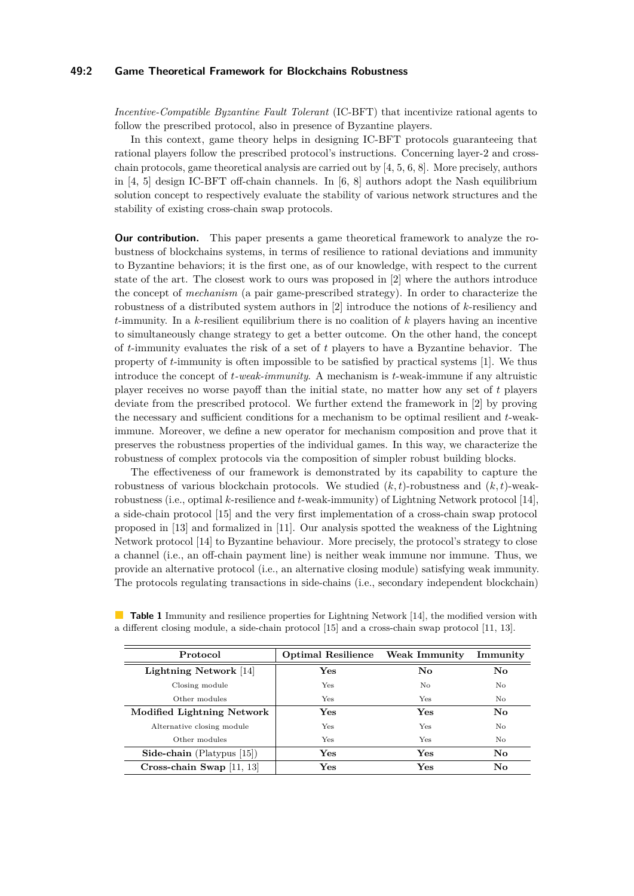#### **49:2 Game Theoretical Framework for Blockchains Robustness**

*Incentive-Compatible Byzantine Fault Tolerant* (IC-BFT) that incentivize rational agents to follow the prescribed protocol, also in presence of Byzantine players.

In this context, game theory helps in designing IC-BFT protocols guaranteeing that rational players follow the prescribed protocol's instructions. Concerning layer-2 and crosschain protocols, game theoretical analysis are carried out by [\[4,](#page-2-7) [5,](#page-2-8) [6,](#page-2-9) [8\]](#page-2-10). More precisely, authors in [\[4,](#page-2-7) [5\]](#page-2-8) design IC-BFT off-chain channels. In [\[6,](#page-2-9) [8\]](#page-2-10) authors adopt the Nash equilibrium solution concept to respectively evaluate the stability of various network structures and the stability of existing cross-chain swap protocols.

**Our contribution.** This paper presents a game theoretical framework to analyze the robustness of blockchains systems, in terms of resilience to rational deviations and immunity to Byzantine behaviors; it is the first one, as of our knowledge, with respect to the current state of the art. The closest work to ours was proposed in [\[2\]](#page-2-11) where the authors introduce the concept of *mechanism* (a pair game-prescribed strategy). In order to characterize the robustness of a distributed system authors in [\[2\]](#page-2-11) introduce the notions of *k*-resiliency and *t*-immunity. In a *k*-resilient equilibrium there is no coalition of *k* players having an incentive to simultaneously change strategy to get a better outcome. On the other hand, the concept of *t*-immunity evaluates the risk of a set of *t* players to have a Byzantine behavior. The property of *t*-immunity is often impossible to be satisfied by practical systems [\[1\]](#page-2-12). We thus introduce the concept of *t-weak-immunity*. A mechanism is *t*-weak-immune if any altruistic player receives no worse payoff than the initial state, no matter how any set of *t* players deviate from the prescribed protocol. We further extend the framework in [\[2\]](#page-2-11) by proving the necessary and sufficient conditions for a mechanism to be optimal resilient and *t*-weakimmune. Moreover, we define a new operator for mechanism composition and prove that it preserves the robustness properties of the individual games. In this way, we characterize the robustness of complex protocols via the composition of simpler robust building blocks.

The effectiveness of our framework is demonstrated by its capability to capture the robustness of various blockchain protocols. We studied (*k, t*)-robustness and (*k, t*)-weakrobustness (i.e., optimal *k*-resilience and *t*-weak-immunity) of Lightning Network protocol [\[14\]](#page-2-13), a side-chain protocol [\[15\]](#page-2-14) and the very first implementation of a cross-chain swap protocol proposed in [\[13\]](#page-2-15) and formalized in [\[11\]](#page-2-16). Our analysis spotted the weakness of the Lightning Network protocol [\[14\]](#page-2-13) to Byzantine behaviour. More precisely, the protocol's strategy to close a channel (i.e., an off-chain payment line) is neither weak immune nor immune. Thus, we provide an alternative protocol (i.e., an alternative closing module) satisfying weak immunity. The protocols regulating transactions in side-chains (i.e., secondary independent blockchain)

| Protocol                             | Optimal Resilience | Weak Immunity | Immunity |
|--------------------------------------|--------------------|---------------|----------|
| Lightning Network [14]               | Yes                | No            | No       |
| Closing module                       | Yes                | No            | No       |
| Other modules                        | Yes                | Yes           | No       |
| Modified Lightning Network           | Yes                | Yes           | No       |
| Alternative closing module           | Yes                | Yes           | No.      |
| Other modules                        | Yes                | Yes           | No.      |
| <b>Side-chain</b> (Platypus $[15]$ ) | Yes                | Yes           | No       |
| Cross-chain Swap $[11, 13]$          | Yes                | Yes           | No       |

<span id="page-1-0"></span>**Table 1** Immunity and resilience properties for Lightning Network [\[14\]](#page-2-13), the modified version with a different closing module, a side-chain protocol [\[15\]](#page-2-14) and a cross-chain swap protocol [\[11,](#page-2-16) [13\]](#page-2-15).